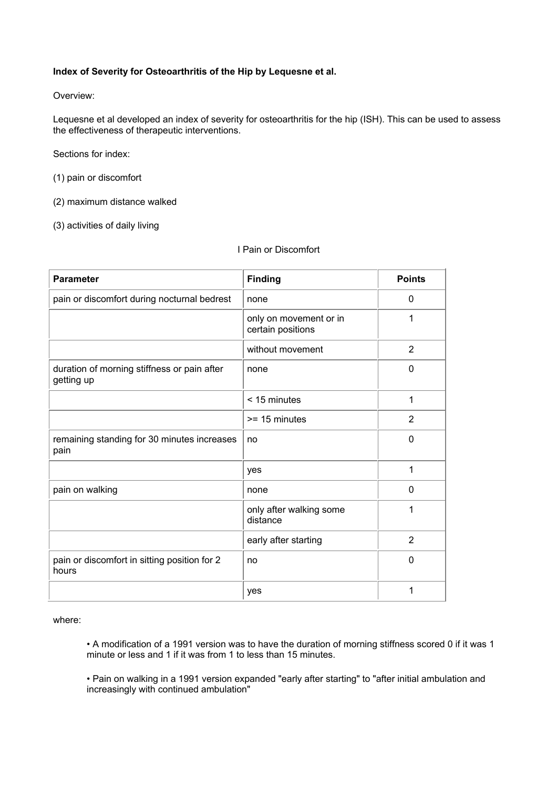## **Index of Severity for Osteoarthritis of the Hip by Lequesne et al.**

Overview:

Lequesne et al developed an index of severity for osteoarthritis for the hip (ISH). This can be used to assess the effectiveness of therapeutic interventions.

Sections for index:

- (1) pain or discomfort
- (2) maximum distance walked
- (3) activities of daily living

I Pain or Discomfort

| <b>Parameter</b>                                          | <b>Finding</b>                              | <b>Points</b>  |
|-----------------------------------------------------------|---------------------------------------------|----------------|
| pain or discomfort during nocturnal bedrest               | none                                        | 0              |
|                                                           | only on movement or in<br>certain positions | 1              |
|                                                           | without movement                            | $\overline{2}$ |
| duration of morning stiffness or pain after<br>getting up | none                                        | 0              |
|                                                           | < 15 minutes                                | 1              |
|                                                           | $>= 15$ minutes                             | $\overline{2}$ |
| remaining standing for 30 minutes increases<br>pain       | no                                          | 0              |
|                                                           | yes                                         | 1              |
| pain on walking                                           | none                                        | $\mathbf{0}$   |
|                                                           | only after walking some<br>distance         | 1              |
|                                                           | early after starting                        | 2              |
| pain or discomfort in sitting position for 2<br>hours     | no                                          | 0              |
|                                                           | yes                                         | 1              |

### where:

• A modification of a 1991 version was to have the duration of morning stiffness scored 0 if it was 1 minute or less and 1 if it was from 1 to less than 15 minutes.

• Pain on walking in a 1991 version expanded "early after starting" to "after initial ambulation and increasingly with continued ambulation"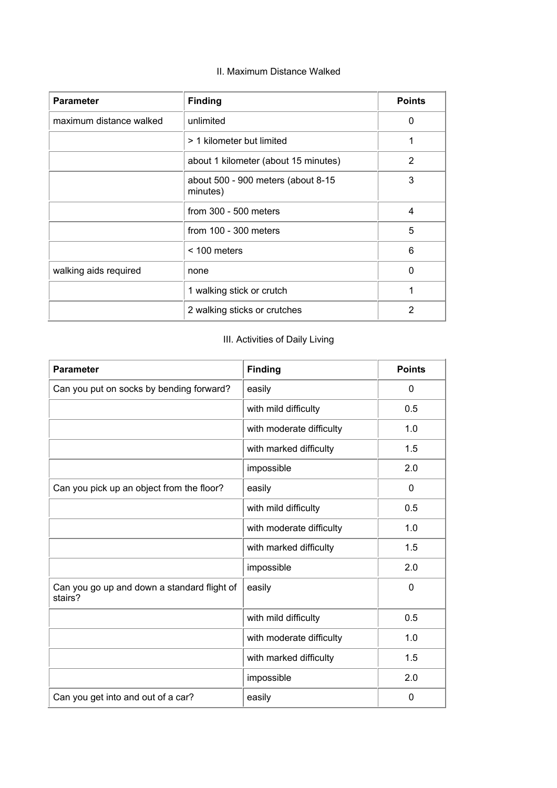# II. Maximum Distance Walked

| <b>Parameter</b>        | <b>Finding</b>                                 | <b>Points</b> |
|-------------------------|------------------------------------------------|---------------|
| maximum distance walked | unlimited                                      | 0             |
|                         | > 1 kilometer but limited                      |               |
|                         | about 1 kilometer (about 15 minutes)           | 2             |
|                         | about 500 - 900 meters (about 8-15<br>minutes) | 3             |
|                         | from $300 - 500$ meters                        | 4             |
|                         | from $100 - 300$ meters                        | 5             |
|                         | $< 100$ meters                                 | 6             |
| walking aids required   | none                                           | 0             |
|                         | 1 walking stick or crutch                      |               |
|                         | 2 walking sticks or crutches                   | 2             |

# III. Activities of Daily Living

| <b>Parameter</b>                                       | <b>Finding</b>           | <b>Points</b> |
|--------------------------------------------------------|--------------------------|---------------|
| Can you put on socks by bending forward?               | easily                   | 0             |
|                                                        | with mild difficulty     | 0.5           |
|                                                        | with moderate difficulty | 1.0           |
|                                                        | with marked difficulty   | 1.5           |
|                                                        | impossible               | 2.0           |
| Can you pick up an object from the floor?              | easily                   | 0             |
|                                                        | with mild difficulty     | 0.5           |
|                                                        | with moderate difficulty | 1.0           |
|                                                        | with marked difficulty   | 1.5           |
|                                                        | impossible               | 2.0           |
| Can you go up and down a standard flight of<br>stairs? | easily                   | 0             |
|                                                        | with mild difficulty     | 0.5           |
|                                                        | with moderate difficulty | 1.0           |
|                                                        | with marked difficulty   | 1.5           |
|                                                        | impossible               | 2.0           |
| Can you get into and out of a car?                     | easily                   | 0             |